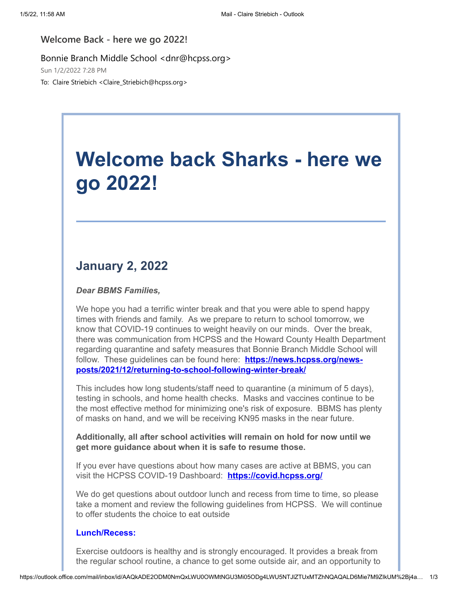## **Welcome Back - here we go 2022!**

Bonnie Branch Middle School <dnr@hcpss.org>

Sun 1/2/2022 7:28 PM

To: Claire Striebich <Claire\_Striebich@hcpss.org>

## **Welcome back Sharks - here we go 2022!**

## **January 2, 2022**

*Dear BBMS Families,*

We hope you had a terrific winter break and that you were able to spend happy times with friends and family. As we prepare to return to school tomorrow, we know that COVID-19 continues to weight heavily on our minds. Over the break, there was communication from HCPSS and the Howard County Health Department regarding quarantine and safety measures that Bonnie Branch Middle School will follow. These guidelines can be found here: **https://news.hcpss.org/news[posts/2021/12/returning-to-school-following-winter-break/](https://nam10.safelinks.protection.outlook.com/?url=http%3A%2F%2Ftrack.spe.schoolmessenger.com%2Ff%2Fa%2FcIIy-GGoM7qnF-4iosqfHA~~%2FAAAAAQA~%2FRgRjs3bEP0RVaHR0cHM6Ly9uZXdzLmhjcHNzLm9yZy9uZXdzLXBvc3RzLzIwMjEvMTIvcmV0dXJuaW5nLXRvLXNjaG9vbC1mb2xsb3dpbmctd2ludGVyLWJyZWFrL1cHc2Nob29sbUIKYc9EQ9JhgIAjjlIaY2xhaXJlX3N0cmllYmljaEBoY3Bzcy5vcmdYBAAAAAE~&data=04%7C01%7Cclaire_striebich%40hcpss.org%7C9ba5f6d0fb68414edc7308d9ce50057c%7C96a9ac4c477e4dada2b28ad3fc46790b%7C1%7C0%7C637767665370860567%7CUnknown%7CTWFpbGZsb3d8eyJWIjoiMC4wLjAwMDAiLCJQIjoiV2luMzIiLCJBTiI6Ik1haWwiLCJXVCI6Mn0%3D%7C3000&sdata=ZHhNEBl1S%2Bjqlm3MHzQO3Pla9ZCAR1PhAk4HuZ2a9dk%3D&reserved=0)**

This includes how long students/staff need to quarantine (a minimum of 5 days), testing in schools, and home health checks. Masks and vaccines continue to be the most effective method for minimizing one's risk of exposure. BBMS has plenty of masks on hand, and we will be receiving KN95 masks in the near future.

**Additionally, all after school activities will remain on hold for now until we get more guidance about when it is safe to resume those.**

If you ever have questions about how many cases are active at BBMS, you can visit the HCPSS COVID-19 Dashboard: **[https://covid.hcpss.org/](https://nam10.safelinks.protection.outlook.com/?url=http%3A%2F%2Ftrack.spe.schoolmessenger.com%2Ff%2Fa%2Fsq82RHxXPWSO4J2U95yyzA~~%2FAAAAAQA~%2FRgRjs3bEP0QYaHR0cHM6Ly9jb3ZpZC5oY3Bzcy5vcmcvVwdzY2hvb2xtQgphz0RD0mGAgCOOUhpjbGFpcmVfc3RyaWViaWNoQGhjcHNzLm9yZ1gEAAAAAQ~~&data=04%7C01%7Cclaire_striebich%40hcpss.org%7C9ba5f6d0fb68414edc7308d9ce50057c%7C96a9ac4c477e4dada2b28ad3fc46790b%7C1%7C0%7C637767665370860567%7CUnknown%7CTWFpbGZsb3d8eyJWIjoiMC4wLjAwMDAiLCJQIjoiV2luMzIiLCJBTiI6Ik1haWwiLCJXVCI6Mn0%3D%7C3000&sdata=97mSObBL%2BElFOkQG2q%2BHO72DNPy53RTPTPpEa7JQVfg%3D&reserved=0)**

We do get questions about outdoor lunch and recess from time to time, so please take a moment and review the following guidelines from HCPSS. We will continue to offer students the choice to eat outside

## **Lunch/Recess:**

Exercise outdoors is healthy and is strongly encouraged. It provides a break from the regular school routine, a chance to get some outside air, and an opportunity to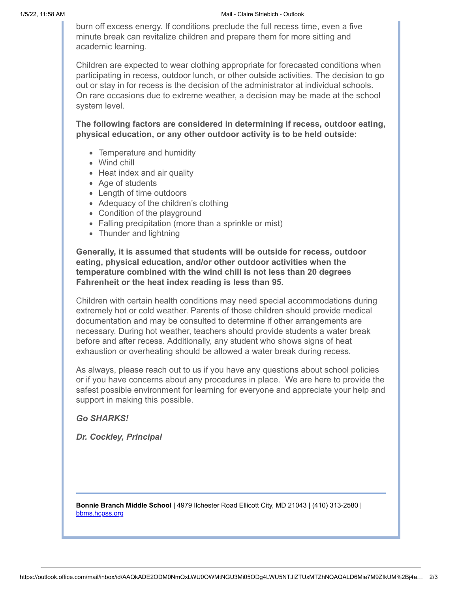burn off excess energy. If conditions preclude the full recess time, even a five minute break can revitalize children and prepare them for more sitting and academic learning.

Children are expected to wear clothing appropriate for forecasted conditions when participating in recess, outdoor lunch, or other outside activities. The decision to go out or stay in for recess is the decision of the administrator at individual schools. On rare occasions due to extreme weather, a decision may be made at the school system level.

**The following factors are considered in determining if recess, outdoor eating, physical education, or any other outdoor activity is to be held outside:**

- Temperature and humidity
- Wind chill
- Heat index and air quality
- Age of students
- Length of time outdoors
- Adequacy of the children's clothing
- Condition of the playground
- Falling precipitation (more than a sprinkle or mist)
- Thunder and lightning

**Generally, it is assumed that students will be outside for recess, outdoor eating, physical education, and/or other outdoor activities when the temperature combined with the wind chill is not less than 20 degrees Fahrenheit or the heat index reading is less than 95.**

Children with certain health conditions may need special accommodations during extremely hot or cold weather. Parents of those children should provide medical documentation and may be consulted to determine if other arrangements are necessary. During hot weather, teachers should provide students a water break before and after recess. Additionally, any student who shows signs of heat exhaustion or overheating should be allowed a water break during recess.

As always, please reach out to us if you have any questions about school policies or if you have concerns about any procedures in place. We are here to provide the safest possible environment for learning for everyone and appreciate your help and support in making this possible.

*Go SHARKS!*

*Dr. Cockley, Principal*

**Bonnie Branch Middle School |** 4979 Ilchester Road Ellicott City, MD 21043 | (410) 313-2580 | [bbms.hcpss.org](https://nam10.safelinks.protection.outlook.com/?url=http%3A%2F%2Ftrack.spe.schoolmessenger.com%2Ff%2Fa%2F9UHZkU2Wc5AeRINK6Yw_gQ~~%2FAAAAAQA~%2FRgRjs3bEP0QWaHR0cDovL2JibXMuaGNwc3Mub3JnL1cHc2Nob29sbUIKYc9EQ9JhgIAjjlIaY2xhaXJlX3N0cmllYmljaEBoY3Bzcy5vcmdYBAAAAAE~&data=04%7C01%7Cclaire_striebich%40hcpss.org%7C9ba5f6d0fb68414edc7308d9ce50057c%7C96a9ac4c477e4dada2b28ad3fc46790b%7C1%7C0%7C637767665370860567%7CUnknown%7CTWFpbGZsb3d8eyJWIjoiMC4wLjAwMDAiLCJQIjoiV2luMzIiLCJBTiI6Ik1haWwiLCJXVCI6Mn0%3D%7C3000&sdata=15BK%2BDujUNYx1fnm%2FL8YnstO6GXQ8iM%2BbZWe%2FOSOleU%3D&reserved=0)